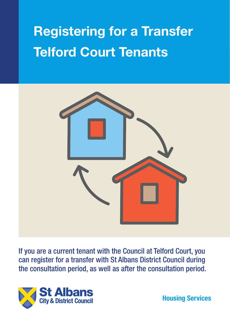# **Registering for a Transfer Telford Court Tenants**



If you are a current tenant with the Council at Telford Court, you can register for a transfer with St Albans District Council during the consultation period, as well as after the consultation period.



**Housing Services**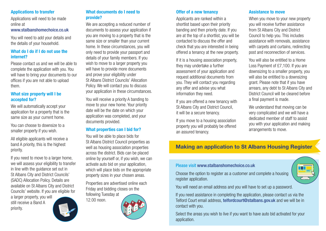## **Applications to transfer**

Applications will need to be made online at www.stalbanshomechoice.co.uk

You will need to add your details and the details of your household.

## **What do I do if I do not use the internet?**

Please contact us and we will be able to complete the application with you. You will have to bring your documents to our offices if you are not able to upload them.

## **What size property will I be accepted for?**

We will automatically accept your application for a property that is the same size as your current home.

You can choose to downsize to a smaller property if you wish.

All eligible applicants will receive a band A priority, this is the highest priority.

If you need to move to a larger home, we will assess your eligibility to transfer in line with the guidance set out in St Albans City and District Councils' (SADC) Allocation Policy. Details are available on St Albans City and District Councils' website. If you are eligible for

a larger property, you will still receive a Band A priority.

## **What documents do I need to provide?**

We are accepting a reduced number of documents to assess your application if you are moving to a property that is the same size or smaller than your current home. In these circumstances, you will only need to provide your passport and details of your family members. If you wish to move to a larger property you will have to provide more documents and prove your eligibility under St Albans District Councils' Allocation Policy. We will contact you to discuss your application in these circumstances.

You will receive a priority A banding to move to your new home. Your priority date will be the date on which your application was completed, and your documents provided.

# **What properties can I bid for?**

You will be able to place bids for St Albans District Council properties as well as housing association properties across the district. Bids can be placed online by yourself or, if you wish, we can activate auto bid on your application, which will place bids on the appropriate property sizes in your chosen areas.

Properties are advertised online each Friday and bidding closes on the following Tuesday at

12.00 noon.



## **Offer of a new tenancy**

Applicants are ranked within a shortlist based upon their priority banding and then priority date. If you are at the top of a shortlist, you will be contacted to discuss the offer and check that you are interested in being offered a tenancy at the new property.

If it is a housing association property, they may undertake a further assessment of your application and request additional documents from you. They will contact you regarding any offer and advise you what information they need.

If you are offered a new tenancy with St Albans City and District Council, it will be a secure tenancy.

If you move to a housing association property you will probably be offered an assured tenancy.

## **Assistance to move**

When you move to your new property you will receive further assistance from St Albans City and District Council to help you. This includes assistance with removals, assistance with carpets and curtains, redirecting post and reconnection of services.

You will also be entitled to a Home Loss Payment of £7,100. If you are downsizing to a smaller property, you will also be entitled to a downsizing grant. Please note that if you have arrears, any debt to St Albans City and District Council will be cleared before a final payment is made.

We understand that moving can be very complicated and we will have a dedicated member of staff to assist you with your application and making arrangements to move.

# **Making an application to St Albans Housing Register**

## Please visit www.stalbanshomechoice.co.uk

Choose the option to register as a customer and complete a housing register application.

| ÷, |
|----|
|    |
|    |

You will need an email address and you will have to set up a password.

If you need assistance in completing the application, please contact us via the Telford Court email address, telfordcourt@stalbans.gov.uk and we will be in contact with you.

Select the areas you wish to live if you want to have auto bid activated for your application.